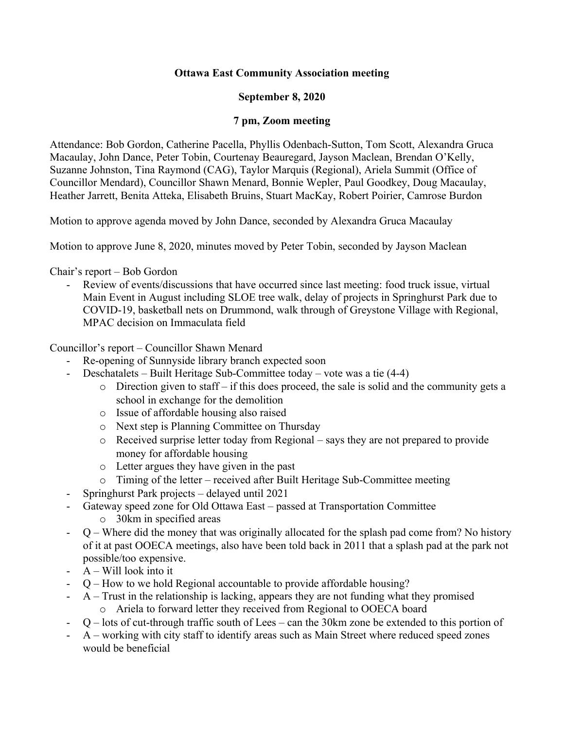# **Ottawa East Community Association meeting**

# **September 8, 2020**

## **7 pm, Zoom meeting**

Attendance: Bob Gordon, Catherine Pacella, Phyllis Odenbach-Sutton, Tom Scott, Alexandra Gruca Macaulay, John Dance, Peter Tobin, Courtenay Beauregard, Jayson Maclean, Brendan O'Kelly, Suzanne Johnston, Tina Raymond (CAG), Taylor Marquis (Regional), Ariela Summit (Office of Councillor Mendard), Councillor Shawn Menard, Bonnie Wepler, Paul Goodkey, Doug Macaulay, Heather Jarrett, Benita Atteka, Elisabeth Bruins, Stuart MacKay, Robert Poirier, Camrose Burdon

Motion to approve agenda moved by John Dance, seconded by Alexandra Gruca Macaulay

Motion to approve June 8, 2020, minutes moved by Peter Tobin, seconded by Jayson Maclean

Chair's report – Bob Gordon

- Review of events/discussions that have occurred since last meeting: food truck issue, virtual Main Event in August including SLOE tree walk, delay of projects in Springhurst Park due to COVID-19, basketball nets on Drummond, walk through of Greystone Village with Regional, MPAC decision on Immaculata field

Councillor's report – Councillor Shawn Menard

- Re-opening of Sunnyside library branch expected soon
- Deschatalets Built Heritage Sub-Committee today vote was a tie (4-4)
	- $\circ$  Direction given to staff if this does proceed, the sale is solid and the community gets a school in exchange for the demolition
	- o Issue of affordable housing also raised
	- o Next step is Planning Committee on Thursday
	- $\circ$  Received surprise letter today from Regional says they are not prepared to provide money for affordable housing
	- o Letter argues they have given in the past
	- o Timing of the letter received after Built Heritage Sub-Committee meeting
- Springhurst Park projects delayed until 2021
- Gateway speed zone for Old Ottawa East passed at Transportation Committee
	- o 30km in specified areas
- $Q$  Where did the money that was originally allocated for the splash pad come from? No history of it at past OOECA meetings, also have been told back in 2011 that a splash pad at the park not possible/too expensive.
- A Will look into it
- Q How to we hold Regional accountable to provide affordable housing?
- A Trust in the relationship is lacking, appears they are not funding what they promised o Ariela to forward letter they received from Regional to OOECA board
- $-Q$  lots of cut-through traffic south of Lees can the 30km zone be extended to this portion of
- A working with city staff to identify areas such as Main Street where reduced speed zones would be beneficial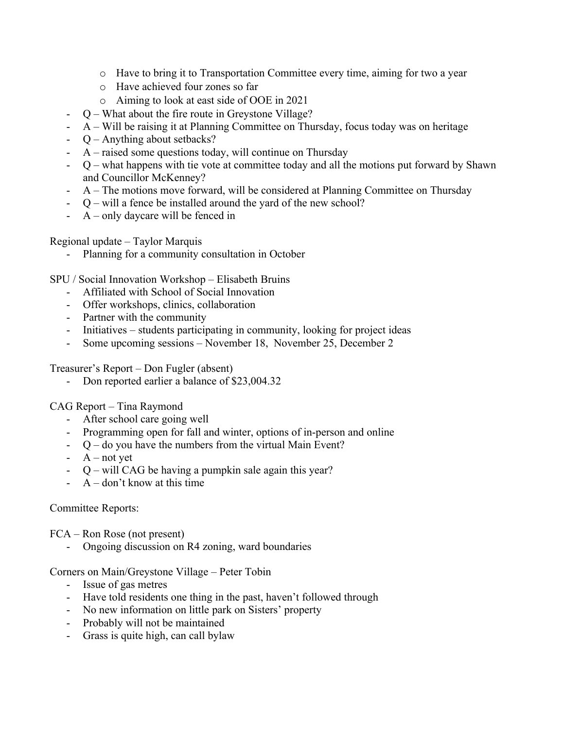- o Have to bring it to Transportation Committee every time, aiming for two a year
- o Have achieved four zones so far
- o Aiming to look at east side of OOE in 2021
- Q What about the fire route in Greystone Village?
- A Will be raising it at Planning Committee on Thursday, focus today was on heritage
- Q Anything about setbacks?
- $A$  raised some questions today, will continue on Thursday
- Q what happens with tie vote at committee today and all the motions put forward by Shawn and Councillor McKenney?
- A The motions move forward, will be considered at Planning Committee on Thursday
- Q will a fence be installed around the yard of the new school?
- A only daycare will be fenced in

Regional update – Taylor Marquis

- Planning for a community consultation in October

SPU / Social Innovation Workshop – Elisabeth Bruins

- Affiliated with School of Social Innovation
- Offer workshops, clinics, collaboration
- Partner with the community
- Initiatives students participating in community, looking for project ideas
- Some upcoming sessions November 18, November 25, December 2

Treasurer's Report – Don Fugler (absent)

- Don reported earlier a balance of \$23,004.32

CAG Report – Tina Raymond

- After school care going well
- Programming open for fall and winter, options of in-person and online
- $Q$  do you have the numbers from the virtual Main Event?
- $-A$  not yet
- Q will CAG be having a pumpkin sale again this year?
- $A$  don't know at this time

#### Committee Reports:

FCA – Ron Rose (not present)

Ongoing discussion on R4 zoning, ward boundaries

Corners on Main/Greystone Village – Peter Tobin

- Issue of gas metres
- Have told residents one thing in the past, haven't followed through
- No new information on little park on Sisters' property
- Probably will not be maintained
- Grass is quite high, can call bylaw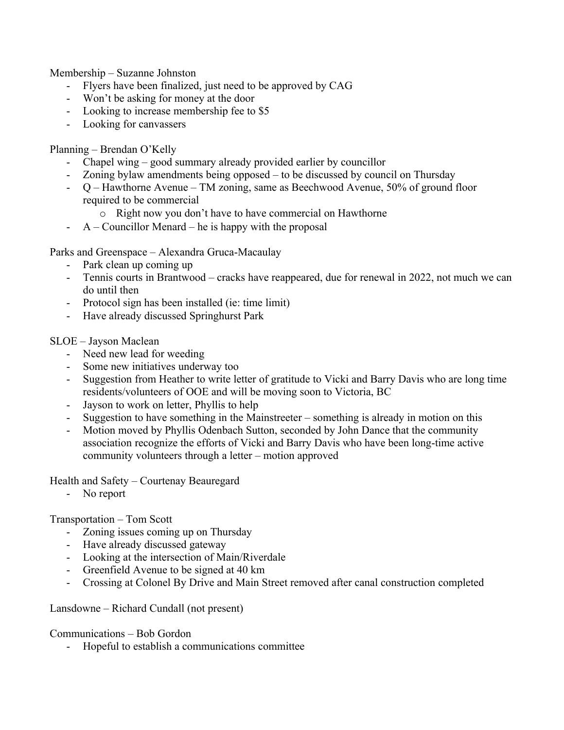Membership – Suzanne Johnston

- Flyers have been finalized, just need to be approved by CAG
- Won't be asking for money at the door
- Looking to increase membership fee to \$5
- Looking for canvassers

Planning – Brendan O'Kelly

- Chapel wing good summary already provided earlier by councillor
- Zoning bylaw amendments being opposed to be discussed by council on Thursday
- Q Hawthorne Avenue TM zoning, same as Beechwood Avenue, 50% of ground floor required to be commercial
	- o Right now you don't have to have commercial on Hawthorne
- $A -$  Councillor Menard he is happy with the proposal

Parks and Greenspace – Alexandra Gruca-Macaulay

- Park clean up coming up
- Tennis courts in Brantwood cracks have reappeared, due for renewal in 2022, not much we can do until then
- Protocol sign has been installed (ie: time limit)
- Have already discussed Springhurst Park

SLOE – Jayson Maclean

- Need new lead for weeding
- Some new initiatives underway too
- Suggestion from Heather to write letter of gratitude to Vicki and Barry Davis who are long time residents/volunteers of OOE and will be moving soon to Victoria, BC
- Jayson to work on letter, Phyllis to help
- Suggestion to have something in the Mainstreeter something is already in motion on this
- Motion moved by Phyllis Odenbach Sutton, seconded by John Dance that the community association recognize the efforts of Vicki and Barry Davis who have been long-time active community volunteers through a letter – motion approved

Health and Safety – Courtenay Beauregard

- No report

Transportation – Tom Scott

- Zoning issues coming up on Thursday
- Have already discussed gateway
- Looking at the intersection of Main/Riverdale
- Greenfield Avenue to be signed at 40 km
- Crossing at Colonel By Drive and Main Street removed after canal construction completed

Lansdowne – Richard Cundall (not present)

Communications – Bob Gordon

Hopeful to establish a communications committee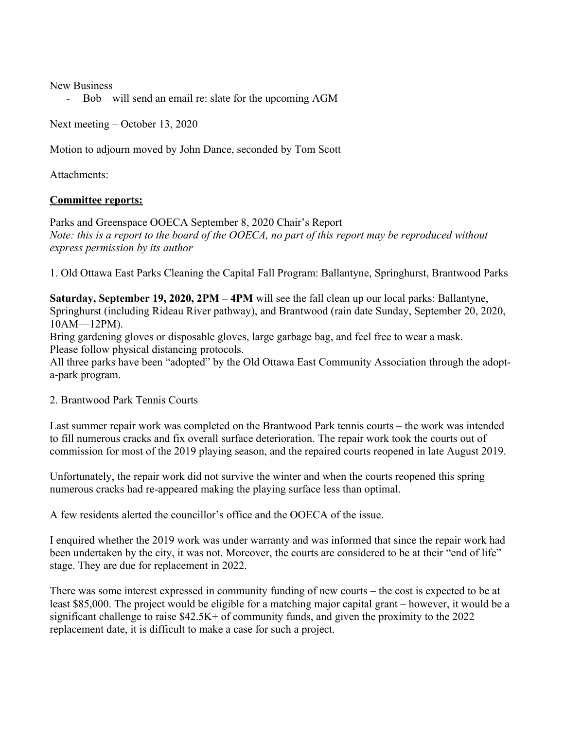New Business

- Bob – will send an email re: slate for the upcoming AGM

Next meeting – October 13, 2020

Motion to adjourn moved by John Dance, seconded by Tom Scott

Attachments:

## **Committee reports:**

Parks and Greenspace OOECA September 8, 2020 Chair's Report *Note: this is a report to the board of the OOECA, no part of this report may be reproduced without express permission by its author*

1. Old Ottawa East Parks Cleaning the Capital Fall Program: Ballantyne, Springhurst, Brantwood Parks

**Saturday, September 19, 2020, 2PM – 4PM** will see the fall clean up our local parks: Ballantyne, Springhurst (including Rideau River pathway), and Brantwood (rain date Sunday, September 20, 2020, 10AM—12PM).

Bring gardening gloves or disposable gloves, large garbage bag, and feel free to wear a mask. Please follow physical distancing protocols.

All three parks have been "adopted" by the Old Ottawa East Community Association through the adopta-park program.

#### 2. Brantwood Park Tennis Courts

Last summer repair work was completed on the Brantwood Park tennis courts – the work was intended to fill numerous cracks and fix overall surface deterioration. The repair work took the courts out of commission for most of the 2019 playing season, and the repaired courts reopened in late August 2019.

Unfortunately, the repair work did not survive the winter and when the courts reopened this spring numerous cracks had re-appeared making the playing surface less than optimal.

A few residents alerted the councillor's office and the OOECA of the issue.

I enquired whether the 2019 work was under warranty and was informed that since the repair work had been undertaken by the city, it was not. Moreover, the courts are considered to be at their "end of life" stage. They are due for replacement in 2022.

There was some interest expressed in community funding of new courts – the cost is expected to be at least \$85,000. The project would be eligible for a matching major capital grant – however, it would be a significant challenge to raise \$42.5K+ of community funds, and given the proximity to the 2022 replacement date, it is difficult to make a case for such a project.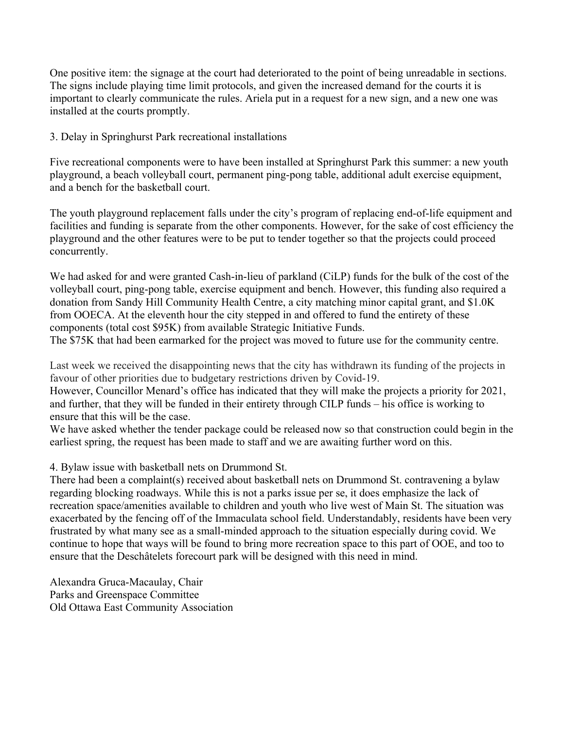One positive item: the signage at the court had deteriorated to the point of being unreadable in sections. The signs include playing time limit protocols, and given the increased demand for the courts it is important to clearly communicate the rules. Ariela put in a request for a new sign, and a new one was installed at the courts promptly.

## 3. Delay in Springhurst Park recreational installations

Five recreational components were to have been installed at Springhurst Park this summer: a new youth playground, a beach volleyball court, permanent ping-pong table, additional adult exercise equipment, and a bench for the basketball court.

The youth playground replacement falls under the city's program of replacing end-of-life equipment and facilities and funding is separate from the other components. However, for the sake of cost efficiency the playground and the other features were to be put to tender together so that the projects could proceed concurrently.

We had asked for and were granted Cash-in-lieu of parkland (CiLP) funds for the bulk of the cost of the volleyball court, ping-pong table, exercise equipment and bench. However, this funding also required a donation from Sandy Hill Community Health Centre, a city matching minor capital grant, and \$1.0K from OOECA. At the eleventh hour the city stepped in and offered to fund the entirety of these components (total cost \$95K) from available Strategic Initiative Funds.

The \$75K that had been earmarked for the project was moved to future use for the community centre.

Last week we received the disappointing news that the city has withdrawn its funding of the projects in favour of other priorities due to budgetary restrictions driven by Covid-19.

However, Councillor Menard's office has indicated that they will make the projects a priority for 2021, and further, that they will be funded in their entirety through CILP funds – his office is working to ensure that this will be the case.

We have asked whether the tender package could be released now so that construction could begin in the earliest spring, the request has been made to staff and we are awaiting further word on this.

#### 4. Bylaw issue with basketball nets on Drummond St.

There had been a complaint(s) received about basketball nets on Drummond St. contravening a bylaw regarding blocking roadways. While this is not a parks issue per se, it does emphasize the lack of recreation space/amenities available to children and youth who live west of Main St. The situation was exacerbated by the fencing off of the Immaculata school field. Understandably, residents have been very frustrated by what many see as a small-minded approach to the situation especially during covid. We continue to hope that ways will be found to bring more recreation space to this part of OOE, and too to ensure that the Deschâtelets forecourt park will be designed with this need in mind.

Alexandra Gruca-Macaulay, Chair Parks and Greenspace Committee Old Ottawa East Community Association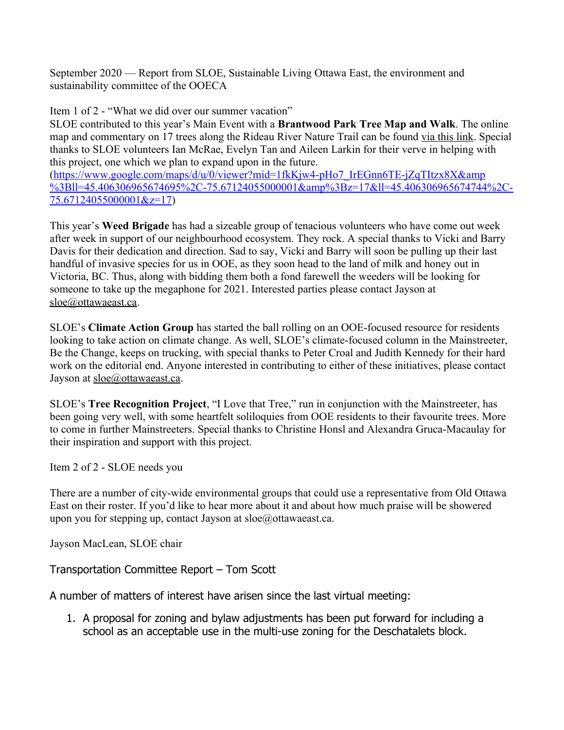September 2020 — Report from SLOE, Sustainable Living Ottawa East, the environment and sustainability committee of the OOECA

Item 1 of 2 - "What we did over our summer vacation"

SLOE contributed to this year's Main Event with a **Brantwood Park Tree Map and Walk**. The online map and commentary on 17 trees along the Rideau River Nature Trail can be found [via this link](https://www.google.com/maps/d/u/0/viewer?mid=1fkKjw4-pHo7_IrEGnn6TE-jZqTItzx8X&ll=45.406306965674695%2C-75.67124055000001&z=17). Special thanks to SLOE volunteers Ian McRae, Evelyn Tan and Aileen Larkin for their verve in helping with this project, one which we plan to expand upon in the future.

[\(https://www.google.com/maps/d/u/0/viewer?mid=1fkKjw4-pHo7\\_IrEGnn6TE-jZqTItzx8X&amp](https://www.google.com/maps/d/u/0/viewer?mid=1fkKjw4-pHo7_IrEGnn6TE-jZqTItzx8X&%3Bll=45.406306965674695%2C-75.67124055000001&%3Bz=17&ll=45.406306965674744%2C-75.67124055000001&z=17) [%3Bll=45.406306965674695%2C-75.67124055000001&amp%3Bz=17&ll=45.406306965674744%2C-](https://www.google.com/maps/d/u/0/viewer?mid=1fkKjw4-pHo7_IrEGnn6TE-jZqTItzx8X&%3Bll=45.406306965674695%2C-75.67124055000001&%3Bz=17&ll=45.406306965674744%2C-75.67124055000001&z=17)[75.67124055000001&z=17\)](https://www.google.com/maps/d/u/0/viewer?mid=1fkKjw4-pHo7_IrEGnn6TE-jZqTItzx8X&%3Bll=45.406306965674695%2C-75.67124055000001&%3Bz=17&ll=45.406306965674744%2C-75.67124055000001&z=17)

This year's **Weed Brigade** has had a sizeable group of tenacious volunteers who have come out week after week in support of our neighbourhood ecosystem. They rock. A special thanks to Vicki and Barry Davis for their dedication and direction. Sad to say, Vicki and Barry will soon be pulling up their last handful of invasive species for us in OOE, as they soon head to the land of milk and honey out in Victoria, BC. Thus, along with bidding them both a fond farewell the weeders will be looking for someone to take up the megaphone for 2021. Interested parties please contact Jayson at [sloe@ottawaeast.ca.](mailto:sloe@ottawaeast.ca)

SLOE's **Climate Action Group** has started the ball rolling on an OOE-focused resource for residents looking to take action on climate change. As well, SLOE's climate-focused column in the Mainstreeter, Be the Change, keeps on trucking, with special thanks to Peter Croal and Judith Kennedy for their hard work on the editorial end. Anyone interested in contributing to either of these initiatives, please contact Jayson at [sloe@ottawaeast.ca](mailto:sloe@ottawaeast.ca).

SLOE's **Tree Recognition Project**, "I Love that Tree," run in conjunction with the Mainstreeter, has been going very well, with some heartfelt soliloquies from OOE residents to their favourite trees. More to come in further Mainstreeters. Special thanks to Christine Honsl and Alexandra Gruca-Macaulay for their inspiration and support with this project.

Item 2 of 2 - SLOE needs you

There are a number of city-wide environmental groups that could use a representative from Old Ottawa East on their roster. If you'd like to hear more about it and about how much praise will be showered upon you for stepping up, contact Jayson at sloe@ottawaeast.ca.

Jayson MacLean, SLOE chair

Transportation Committee Report – Tom Scott

A number of matters of interest have arisen since the last virtual meeting:

1. A proposal for zoning and bylaw adjustments has been put forward for including a school as an acceptable use in the multi-use zoning for the Deschatalets block.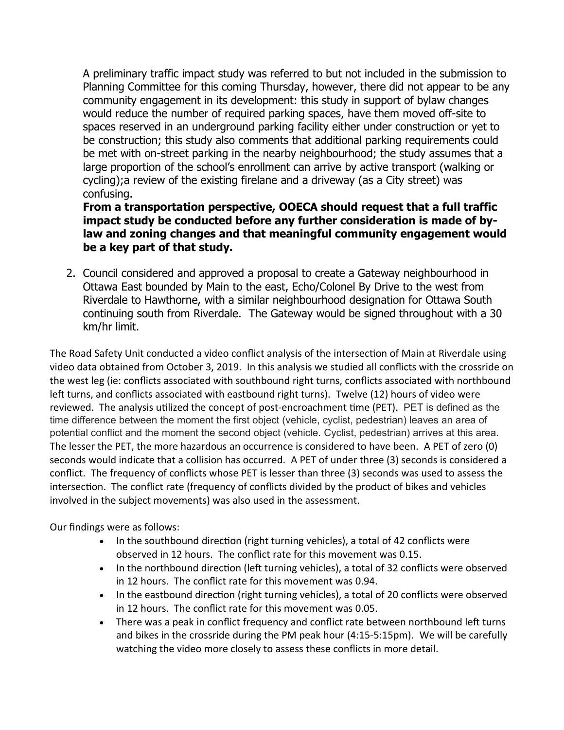A preliminary traffic impact study was referred to but not included in the submission to Planning Committee for this coming Thursday, however, there did not appear to be any community engagement in its development: this study in support of bylaw changes would reduce the number of required parking spaces, have them moved off-site to spaces reserved in an underground parking facility either under construction or yet to be construction; this study also comments that additional parking requirements could be met with on-street parking in the nearby neighbourhood; the study assumes that a large proportion of the school's enrollment can arrive by active transport (walking or cycling);a review of the existing firelane and a driveway (as a City street) was confusing.

# **From a transportation perspective, OOECA should request that a full traffic impact study be conducted before any further consideration is made of bylaw and zoning changes and that meaningful community engagement would be a key part of that study.**

2. Council considered and approved a proposal to create a Gateway neighbourhood in Ottawa East bounded by Main to the east, Echo/Colonel By Drive to the west from Riverdale to Hawthorne, with a similar neighbourhood designation for Ottawa South continuing south from Riverdale. The Gateway would be signed throughout with a 30 km/hr limit.

The Road Safety Unit conducted a video conflict analysis of the intersection of Main at Riverdale using video data obtained from October 3, 2019. In this analysis we studied all conflicts with the crossride on the west leg (ie: conflicts associated with southbound right turns, conflicts associated with northbound left turns, and conflicts associated with eastbound right turns). Twelve (12) hours of video were reviewed. The analysis utilized the concept of post-encroachment time (PET). PET is defined as the time difference between the moment the first object (vehicle, cyclist, pedestrian) leaves an area of potential conflict and the moment the second object (vehicle. Cyclist, pedestrian) arrives at this area. The lesser the PET, the more hazardous an occurrence is considered to have been. A PET of zero (0) seconds would indicate that a collision has occurred. A PET of under three (3) seconds is considered a conflict. The frequency of conflicts whose PET is lesser than three (3) seconds was used to assess the intersection. The conflict rate (frequency of conflicts divided by the product of bikes and vehicles involved in the subject movements) was also used in the assessment.

Our findings were as follows:

- In the southbound direction (right turning vehicles), a total of 42 conflicts were observed in 12 hours. The conflict rate for this movement was 0.15.
- In the northbound direction (left turning vehicles), a total of 32 conflicts were observed in 12 hours. The conflict rate for this movement was 0.94.
- In the eastbound direction (right turning vehicles), a total of 20 conflicts were observed in 12 hours. The conflict rate for this movement was 0.05.
- There was a peak in conflict frequency and conflict rate between northbound left turns and bikes in the crossride during the PM peak hour (4:15-5:15pm). We will be carefully watching the video more closely to assess these conflicts in more detail.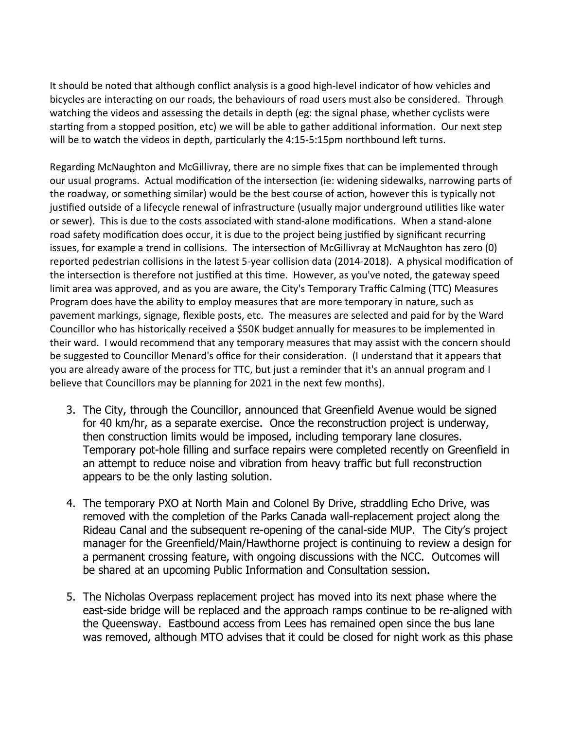It should be noted that although conflict analysis is a good high-level indicator of how vehicles and bicycles are interacting on our roads, the behaviours of road users must also be considered. Through watching the videos and assessing the details in depth (eg: the signal phase, whether cyclists were starting from a stopped position, etc) we will be able to gather additional information. Our next step will be to watch the videos in depth, particularly the 4:15-5:15pm northbound left turns.

Regarding McNaughton and McGillivray, there are no simple fixes that can be implemented through our usual programs. Actual modification of the intersection (ie: widening sidewalks, narrowing parts of the roadway, or something similar) would be the best course of action, however this is typically not justified outside of a lifecycle renewal of infrastructure (usually major underground utilities like water or sewer). This is due to the costs associated with stand-alone modifications. When a stand-alone road safety modification does occur, it is due to the project being justified by significant recurring issues, for example a trend in collisions. The intersection of McGillivray at McNaughton has zero (0) reported pedestrian collisions in the latest 5-year collision data (2014-2018). A physical modification of the intersection is therefore not justified at this time. However, as you've noted, the gateway speed limit area was approved, and as you are aware, the City's Temporary Traffic Calming (TTC) Measures Program does have the ability to employ measures that are more temporary in nature, such as pavement markings, signage, flexible posts, etc. The measures are selected and paid for by the Ward Councillor who has historically received a \$50K budget annually for measures to be implemented in their ward. I would recommend that any temporary measures that may assist with the concern should be suggested to Councillor Menard's office for their consideration. (I understand that it appears that you are already aware of the process for TTC, but just a reminder that it's an annual program and I believe that Councillors may be planning for 2021 in the next few months).

- 3. The City, through the Councillor, announced that Greenfield Avenue would be signed for 40 km/hr, as a separate exercise. Once the reconstruction project is underway, then construction limits would be imposed, including temporary lane closures. Temporary pot-hole filling and surface repairs were completed recently on Greenfield in an attempt to reduce noise and vibration from heavy traffic but full reconstruction appears to be the only lasting solution.
- 4. The temporary PXO at North Main and Colonel By Drive, straddling Echo Drive, was removed with the completion of the Parks Canada wall-replacement project along the Rideau Canal and the subsequent re-opening of the canal-side MUP. The City's project manager for the Greenfield/Main/Hawthorne project is continuing to review a design for a permanent crossing feature, with ongoing discussions with the NCC. Outcomes will be shared at an upcoming Public Information and Consultation session.
- 5. The Nicholas Overpass replacement project has moved into its next phase where the east-side bridge will be replaced and the approach ramps continue to be re-aligned with the Queensway. Eastbound access from Lees has remained open since the bus lane was removed, although MTO advises that it could be closed for night work as this phase